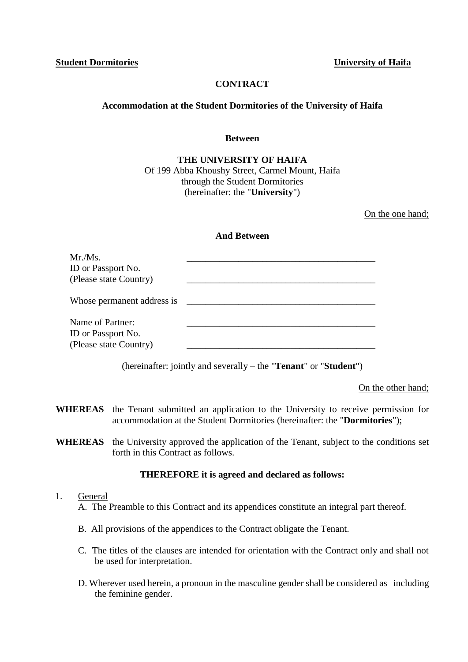**Student Dormitories University of Haifa**

## **CONTRACT**

#### **Accommodation at the Student Dormitories of the University of Haifa**

#### **Between**

#### **THE UNIVERSITY OF HAIFA** Of 199 Abba Khoushy Street, Carmel Mount, Haifa through the Student Dormitories (hereinafter: the "**University**")

On the one hand;

#### **And Between**

| Mr./Ms.<br>ID or Passport No.<br>(Please state Country)          |  |
|------------------------------------------------------------------|--|
| Whose permanent address is                                       |  |
| Name of Partner:<br>ID or Passport No.<br>(Please state Country) |  |

(hereinafter: jointly and severally – the "**Tenant**" or "**Student**")

On the other hand;

- **WHEREAS** the Tenant submitted an application to the University to receive permission for accommodation at the Student Dormitories (hereinafter: the "**Dormitories**");
- **WHEREAS** the University approved the application of the Tenant, subject to the conditions set forth in this Contract as follows.

#### **THEREFORE it is agreed and declared as follows:**

#### 1. General

- A. The Preamble to this Contract and its appendices constitute an integral part thereof.
- B. All provisions of the appendices to the Contract obligate the Tenant.
- C. The titles of the clauses are intended for orientation with the Contract only and shall not be used for interpretation.
- D. Wherever used herein, a pronoun in the masculine gender shall be considered as including the feminine gender.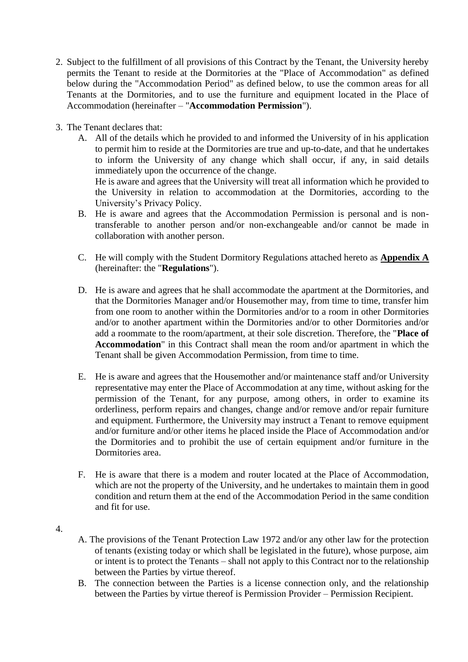- 2. Subject to the fulfillment of all provisions of this Contract by the Tenant, the University hereby permits the Tenant to reside at the Dormitories at the "Place of Accommodation" as defined below during the "Accommodation Period" as defined below, to use the common areas for all Tenants at the Dormitories, and to use the furniture and equipment located in the Place of Accommodation (hereinafter – "**Accommodation Permission**").
- 3. The Tenant declares that:
	- A. All of the details which he provided to and informed the University of in his application to permit him to reside at the Dormitories are true and up-to-date, and that he undertakes to inform the University of any change which shall occur, if any, in said details immediately upon the occurrence of the change. He is aware and agrees that the University will treat all information which he provided to

the University in relation to accommodation at the Dormitories, according to the University's Privacy Policy.

- B. He is aware and agrees that the Accommodation Permission is personal and is nontransferable to another person and/or non-exchangeable and/or cannot be made in collaboration with another person.
- C. He will comply with the Student Dormitory Regulations attached hereto as **Appendix A** (hereinafter: the "**Regulations**").
- D. He is aware and agrees that he shall accommodate the apartment at the Dormitories, and that the Dormitories Manager and/or Housemother may, from time to time, transfer him from one room to another within the Dormitories and/or to a room in other Dormitories and/or to another apartment within the Dormitories and/or to other Dormitories and/or add a roommate to the room/apartment, at their sole discretion. Therefore, the "**Place of Accommodation**" in this Contract shall mean the room and/or apartment in which the Tenant shall be given Accommodation Permission, from time to time.
- E. He is aware and agrees that the Housemother and/or maintenance staff and/or University representative may enter the Place of Accommodation at any time, without asking for the permission of the Tenant, for any purpose, among others, in order to examine its orderliness, perform repairs and changes, change and/or remove and/or repair furniture and equipment. Furthermore, the University may instruct a Tenant to remove equipment and/or furniture and/or other items he placed inside the Place of Accommodation and/or the Dormitories and to prohibit the use of certain equipment and/or furniture in the Dormitories area.
- F. He is aware that there is a modem and router located at the Place of Accommodation, which are not the property of the University, and he undertakes to maintain them in good condition and return them at the end of the Accommodation Period in the same condition and fit for use.
- 4.
- A. The provisions of the Tenant Protection Law 1972 and/or any other law for the protection of tenants (existing today or which shall be legislated in the future), whose purpose, aim or intent is to protect the Tenants – shall not apply to this Contract nor to the relationship between the Parties by virtue thereof.
- B. The connection between the Parties is a license connection only, and the relationship between the Parties by virtue thereof is Permission Provider – Permission Recipient.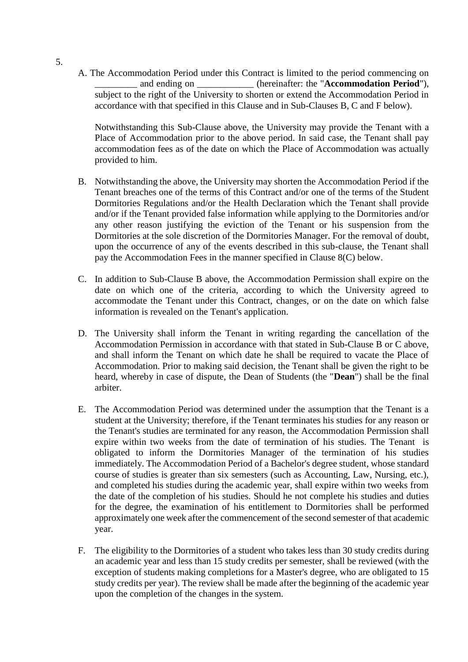A. The Accommodation Period under this Contract is limited to the period commencing on and ending on  $\qquad \qquad$  (hereinafter: the "**Accommodation Period**"), subject to the right of the University to shorten or extend the Accommodation Period in accordance with that specified in this Clause and in Sub-Clauses B, C and F below).

Notwithstanding this Sub-Clause above, the University may provide the Tenant with a Place of Accommodation prior to the above period. In said case, the Tenant shall pay accommodation fees as of the date on which the Place of Accommodation was actually provided to him.

- B. Notwithstanding the above, the University may shorten the Accommodation Period if the Tenant breaches one of the terms of this Contract and/or one of the terms of the Student Dormitories Regulations and/or the Health Declaration which the Tenant shall provide and/or if the Tenant provided false information while applying to the Dormitories and/or any other reason justifying the eviction of the Tenant or his suspension from the Dormitories at the sole discretion of the Dormitories Manager. For the removal of doubt, upon the occurrence of any of the events described in this sub-clause, the Tenant shall pay the Accommodation Fees in the manner specified in Clause 8(C) below.
- C. In addition to Sub-Clause B above, the Accommodation Permission shall expire on the date on which one of the criteria, according to which the University agreed to accommodate the Tenant under this Contract, changes, or on the date on which false information is revealed on the Tenant's application.
- D. The University shall inform the Tenant in writing regarding the cancellation of the Accommodation Permission in accordance with that stated in Sub-Clause B or C above, and shall inform the Tenant on which date he shall be required to vacate the Place of Accommodation. Prior to making said decision, the Tenant shall be given the right to be heard, whereby in case of dispute, the Dean of Students (the "**Dean**") shall be the final arbiter.
- E. The Accommodation Period was determined under the assumption that the Tenant is a student at the University; therefore, if the Tenant terminates his studies for any reason or the Tenant's studies are terminated for any reason, the Accommodation Permission shall expire within two weeks from the date of termination of his studies. The Tenant is obligated to inform the Dormitories Manager of the termination of his studies immediately. The Accommodation Period of a Bachelor's degree student, whose standard course of studies is greater than six semesters (such as Accounting, Law, Nursing, etc.), and completed his studies during the academic year, shall expire within two weeks from the date of the completion of his studies. Should he not complete his studies and duties for the degree, the examination of his entitlement to Dormitories shall be performed approximately one week after the commencement of the second semester of that academic year.
- F. The eligibility to the Dormitories of a student who takes less than 30 study credits during an academic year and less than 15 study credits per semester, shall be reviewed (with the exception of students making completions for a Master's degree, who are obligated to 15 study credits per year). The review shall be made after the beginning of the academic year upon the completion of the changes in the system.

5.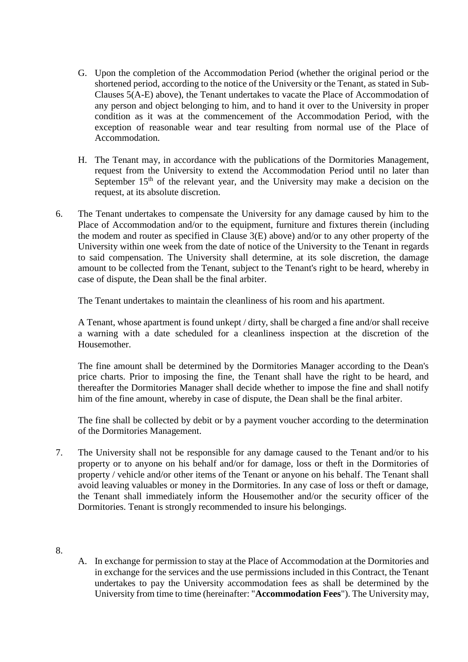- G. Upon the completion of the Accommodation Period (whether the original period or the shortened period, according to the notice of the University or the Tenant, as stated in Sub-Clauses 5(A-E) above), the Tenant undertakes to vacate the Place of Accommodation of any person and object belonging to him, and to hand it over to the University in proper condition as it was at the commencement of the Accommodation Period, with the exception of reasonable wear and tear resulting from normal use of the Place of Accommodation.
- H. The Tenant may, in accordance with the publications of the Dormitories Management, request from the University to extend the Accommodation Period until no later than September  $15<sup>th</sup>$  of the relevant year, and the University may make a decision on the request, at its absolute discretion.
- 6. The Tenant undertakes to compensate the University for any damage caused by him to the Place of Accommodation and/or to the equipment, furniture and fixtures therein (including the modem and router as specified in Clause 3(E) above) and/or to any other property of the University within one week from the date of notice of the University to the Tenant in regards to said compensation. The University shall determine, at its sole discretion, the damage amount to be collected from the Tenant, subject to the Tenant's right to be heard, whereby in case of dispute, the Dean shall be the final arbiter.

The Tenant undertakes to maintain the cleanliness of his room and his apartment.

A Tenant, whose apartment is found unkept / dirty, shall be charged a fine and/or shall receive a warning with a date scheduled for a cleanliness inspection at the discretion of the Housemother.

The fine amount shall be determined by the Dormitories Manager according to the Dean's price charts. Prior to imposing the fine, the Tenant shall have the right to be heard, and thereafter the Dormitories Manager shall decide whether to impose the fine and shall notify him of the fine amount, whereby in case of dispute, the Dean shall be the final arbiter.

The fine shall be collected by debit or by a payment voucher according to the determination of the Dormitories Management.

- 7. The University shall not be responsible for any damage caused to the Tenant and/or to his property or to anyone on his behalf and/or for damage, loss or theft in the Dormitories of property / vehicle and/or other items of the Tenant or anyone on his behalf. The Tenant shall avoid leaving valuables or money in the Dormitories. In any case of loss or theft or damage, the Tenant shall immediately inform the Housemother and/or the security officer of the Dormitories. Tenant is strongly recommended to insure his belongings.
- 8.
- A. In exchange for permission to stay at the Place of Accommodation at the Dormitories and in exchange for the services and the use permissions included in this Contract, the Tenant undertakes to pay the University accommodation fees as shall be determined by the University from time to time (hereinafter: "**Accommodation Fees**"). The University may,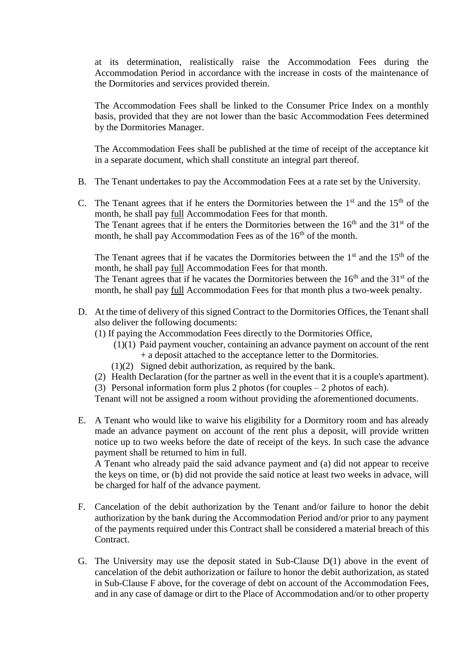at its determination, realistically raise the Accommodation Fees during the Accommodation Period in accordance with the increase in costs of the maintenance of the Dormitories and services provided therein.

The Accommodation Fees shall be linked to the Consumer Price Index on a monthly basis, provided that they are not lower than the basic Accommodation Fees determined by the Dormitories Manager.

The Accommodation Fees shall be published at the time of receipt of the acceptance kit in a separate document, which shall constitute an integral part thereof.

- B. The Tenant undertakes to pay the Accommodation Fees at a rate set by the University.
- C. The Tenant agrees that if he enters the Dormitories between the  $1<sup>st</sup>$  and the  $15<sup>th</sup>$  of the month, he shall pay full Accommodation Fees for that month. The Tenant agrees that if he enters the Dormitories between the  $16<sup>th</sup>$  and the  $31<sup>st</sup>$  of the month, he shall pay Accommodation Fees as of the  $16<sup>th</sup>$  of the month.

The Tenant agrees that if he vacates the Dormitories between the  $1<sup>st</sup>$  and the  $15<sup>th</sup>$  of the month, he shall pay full Accommodation Fees for that month.

The Tenant agrees that if he vacates the Dormitories between the  $16<sup>th</sup>$  and the  $31<sup>st</sup>$  of the month, he shall pay full Accommodation Fees for that month plus a two-week penalty.

- D. At the time of delivery of this signed Contract to the Dormitories Offices, the Tenant shall also deliver the following documents:
	- (1) If paying the Accommodation Fees directly to the Dormitories Office,
		- (1)(1) Paid payment voucher, containing an advance payment on account of the rent + a deposit attached to the acceptance letter to the Dormitories.
		- (1)(2) Signed debit authorization, as required by the bank.
	- (2) Health Declaration (for the partner as well in the event that it is a couple's apartment).
	- (3) Personal information form plus 2 photos (for couples 2 photos of each).

Tenant will not be assigned a room without providing the aforementioned documents.

E. A Tenant who would like to waive his eligibility for a Dormitory room and has already made an advance payment on account of the rent plus a deposit, will provide written notice up to two weeks before the date of receipt of the keys. In such case the advance payment shall be returned to him in full.

A Tenant who already paid the said advance payment and (a) did not appear to receive the keys on time, or (b) did not provide the said notice at least two weeks in advace, will be charged for half of the advance payment.

- F. Cancelation of the debit authorization by the Tenant and/or failure to honor the debit authorization by the bank during the Accommodation Period and/or prior to any payment of the payments required under this Contract shall be considered a material breach of this Contract.
- G. The University may use the deposit stated in Sub-Clause D(1) above in the event of cancelation of the debit authorization or failure to honor the debit authorization, as stated in Sub-Clause F above, for the coverage of debt on account of the Accommodation Fees, and in any case of damage or dirt to the Place of Accommodation and/or to other property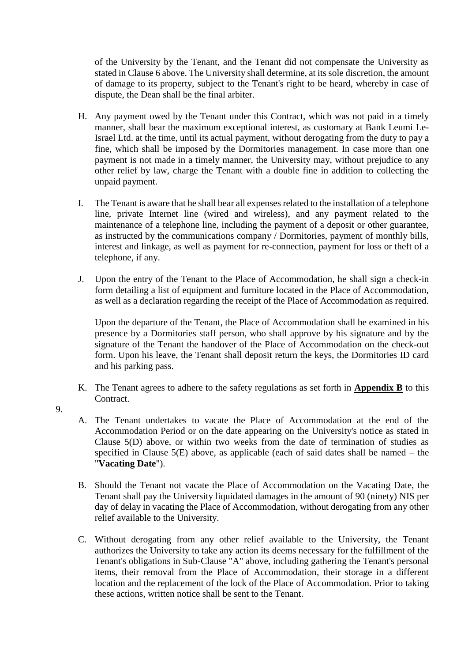of the University by the Tenant, and the Tenant did not compensate the University as stated in Clause 6 above. The University shall determine, at its sole discretion, the amount of damage to its property, subject to the Tenant's right to be heard, whereby in case of dispute, the Dean shall be the final arbiter.

- H. Any payment owed by the Tenant under this Contract, which was not paid in a timely manner, shall bear the maximum exceptional interest, as customary at Bank Leumi Le-Israel Ltd. at the time, until its actual payment, without derogating from the duty to pay a fine, which shall be imposed by the Dormitories management. In case more than one payment is not made in a timely manner, the University may, without prejudice to any other relief by law, charge the Tenant with a double fine in addition to collecting the unpaid payment.
- I. The Tenant is aware that he shall bear all expenses related to the installation of a telephone line, private Internet line (wired and wireless), and any payment related to the maintenance of a telephone line, including the payment of a deposit or other guarantee, as instructed by the communications company / Dormitories, payment of monthly bills, interest and linkage, as well as payment for re-connection, payment for loss or theft of a telephone, if any.
- J. Upon the entry of the Tenant to the Place of Accommodation, he shall sign a check-in form detailing a list of equipment and furniture located in the Place of Accommodation, as well as a declaration regarding the receipt of the Place of Accommodation as required.

Upon the departure of the Tenant, the Place of Accommodation shall be examined in his presence by a Dormitories staff person, who shall approve by his signature and by the signature of the Tenant the handover of the Place of Accommodation on the check-out form. Upon his leave, the Tenant shall deposit return the keys, the Dormitories ID card and his parking pass.

- K. The Tenant agrees to adhere to the safety regulations as set forth in **Appendix B** to this Contract.
- 9.
- A. The Tenant undertakes to vacate the Place of Accommodation at the end of the Accommodation Period or on the date appearing on the University's notice as stated in Clause 5(D) above, or within two weeks from the date of termination of studies as specified in Clause  $5(E)$  above, as applicable (each of said dates shall be named – the "**Vacating Date**").
- B. Should the Tenant not vacate the Place of Accommodation on the Vacating Date, the Tenant shall pay the University liquidated damages in the amount of 90 (ninety) NIS per day of delay in vacating the Place of Accommodation, without derogating from any other relief available to the University.
- C. Without derogating from any other relief available to the University, the Tenant authorizes the University to take any action its deems necessary for the fulfillment of the Tenant's obligations in Sub-Clause "A" above, including gathering the Tenant's personal items, their removal from the Place of Accommodation, their storage in a different location and the replacement of the lock of the Place of Accommodation. Prior to taking these actions, written notice shall be sent to the Tenant.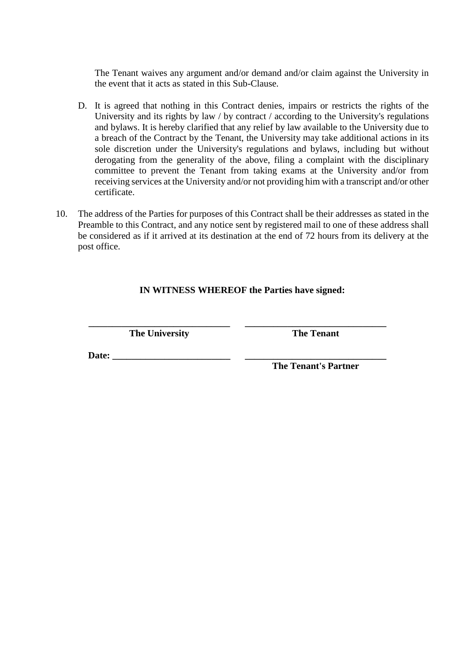The Tenant waives any argument and/or demand and/or claim against the University in the event that it acts as stated in this Sub-Clause.

- D. It is agreed that nothing in this Contract denies, impairs or restricts the rights of the University and its rights by law / by contract / according to the University's regulations and bylaws. It is hereby clarified that any relief by law available to the University due to a breach of the Contract by the Tenant, the University may take additional actions in its sole discretion under the University's regulations and bylaws, including but without derogating from the generality of the above, filing a complaint with the disciplinary committee to prevent the Tenant from taking exams at the University and/or from receiving services at the University and/or not providing him with a transcript and/or other certificate.
- 10. The address of the Parties for purposes of this Contract shall be their addresses as stated in the Preamble to this Contract, and any notice sent by registered mail to one of these address shall be considered as if it arrived at its destination at the end of 72 hours from its delivery at the post office.

# **IN WITNESS WHEREOF the Parties have signed:**

**\_\_\_\_\_\_\_\_\_\_\_\_\_\_\_\_\_\_\_\_\_\_\_\_\_\_\_\_\_\_ \_\_\_\_\_\_\_\_\_\_\_\_\_\_\_\_\_\_\_\_\_\_\_\_\_\_\_\_\_\_ The University The Tenant**

**Date: \_\_\_\_\_\_\_\_\_\_\_\_\_\_\_\_\_\_\_\_\_\_\_\_\_ \_\_\_\_\_\_\_\_\_\_\_\_\_\_\_\_\_\_\_\_\_\_\_\_\_\_\_\_\_\_**

**The Tenant's Partner**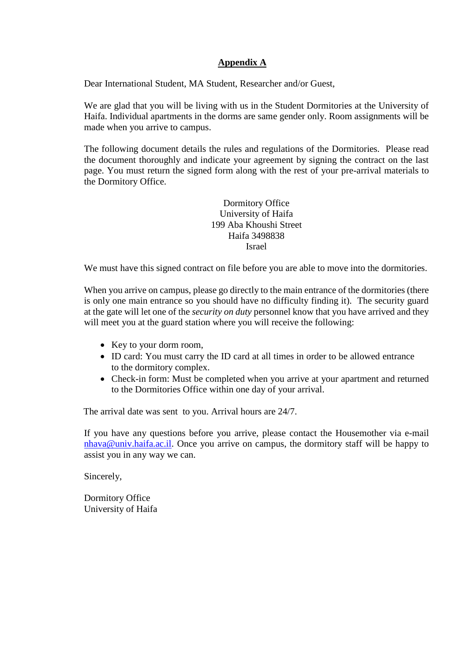## **Appendix A**

Dear International Student, MA Student, Researcher and/or Guest,

We are glad that you will be living with us in the Student Dormitories at the University of Haifa. Individual apartments in the dorms are same gender only. Room assignments will be made when you arrive to campus.

The following document details the rules and regulations of the Dormitories. Please read the document thoroughly and indicate your agreement by signing the contract on the last page. You must return the signed form along with the rest of your pre-arrival materials to the Dormitory Office.

> Dormitory Office University of Haifa 199 Aba Khoushi Street Haifa 3498838 Israel

We must have this signed contract on file before you are able to move into the dormitories.

When you arrive on campus, please go directly to the main entrance of the dormitories (there is only one main entrance so you should have no difficulty finding it). The security guard at the gate will let one of the *security on duty* personnel know that you have arrived and they will meet you at the guard station where you will receive the following:

- Key to your dorm room,
- ID card: You must carry the ID card at all times in order to be allowed entrance to the dormitory complex.
- Check-in form: Must be completed when you arrive at your apartment and returned to the Dormitories Office within one day of your arrival.

The arrival date was sent to you. Arrival hours are 24/7.

If you have any questions before you arrive, please contact the Housemother via e-mail [nhava@univ.haifa.ac.il.](mailto:nhava@univ.haifa.ac.il) Once you arrive on campus, the dormitory staff will be happy to assist you in any way we can.

Sincerely,

Dormitory Office University of Haifa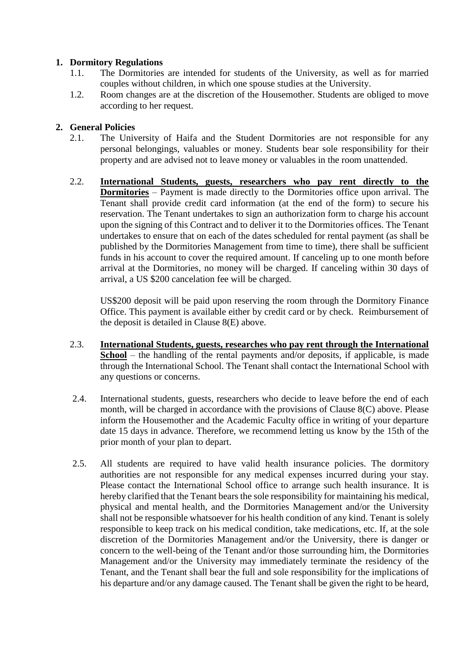## **1. Dormitory Regulations**

- 1.1. The Dormitories are intended for students of the University, as well as for married couples without children, in which one spouse studies at the University.
- 1.2. Room changes are at the discretion of the Housemother. Students are obliged to move according to her request.

# **2. General Policies**

- 2.1. The University of Haifa and the Student Dormitories are not responsible for any personal belongings, valuables or money. Students bear sole responsibility for their property and are advised not to leave money or valuables in the room unattended.
- 2.2. **International Students, guests, researchers who pay rent directly to the Dormitories** – Payment is made directly to the Dormitories office upon arrival. The Tenant shall provide credit card information (at the end of the form) to secure his reservation. The Tenant undertakes to sign an authorization form to charge his account upon the signing of this Contract and to deliver it to the Dormitories offices. The Tenant undertakes to ensure that on each of the dates scheduled for rental payment (as shall be published by the Dormitories Management from time to time), there shall be sufficient funds in his account to cover the required amount. If canceling up to one month before arrival at the Dormitories, no money will be charged. If canceling within 30 days of arrival, a US \$200 cancelation fee will be charged.

US\$200 deposit will be paid upon reserving the room through the Dormitory Finance Office. This payment is available either by credit card or by check. Reimbursement of the deposit is detailed in Clause 8(E) above.

- 2.3. **International Students, guests, researches who pay rent through the International School** – the handling of the rental payments and/or deposits, if applicable, is made through the International School. The Tenant shall contact the International School with any questions or concerns.
- 2.4. International students, guests, researchers who decide to leave before the end of each month, will be charged in accordance with the provisions of Clause 8(C) above. Please inform the Housemother and the Academic Faculty office in writing of your departure date 15 days in advance. Therefore, we recommend letting us know by the 15th of the prior month of your plan to depart.
- 2.5. All students are required to have valid health insurance policies. The dormitory authorities are not responsible for any medical expenses incurred during your stay. Please contact the International School office to arrange such health insurance. It is hereby clarified that the Tenant bears the sole responsibility for maintaining his medical, physical and mental health, and the Dormitories Management and/or the University shall not be responsible whatsoever for his health condition of any kind. Tenant is solely responsible to keep track on his medical condition, take medications, etc. If, at the sole discretion of the Dormitories Management and/or the University, there is danger or concern to the well-being of the Tenant and/or those surrounding him, the Dormitories Management and/or the University may immediately terminate the residency of the Tenant, and the Tenant shall bear the full and sole responsibility for the implications of his departure and/or any damage caused. The Tenant shall be given the right to be heard,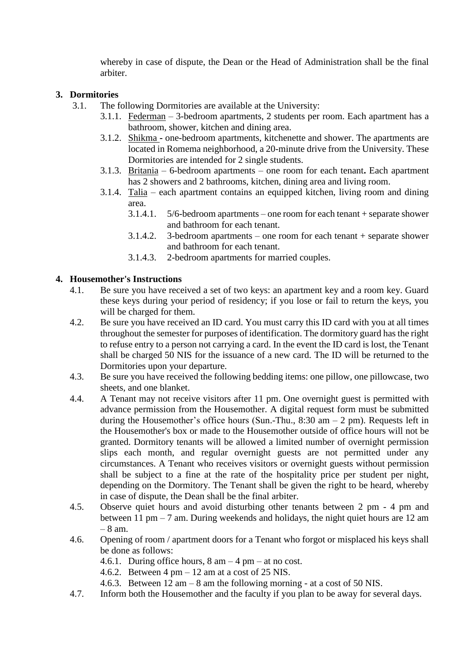whereby in case of dispute, the Dean or the Head of Administration shall be the final arbiter.

## **3. Dormitories**

- 3.1. The following Dormitories are available at the University:
	- 3.1.1. Federman 3-bedroom apartments, 2 students per room. Each apartment has a bathroom, shower, kitchen and dining area.
	- 3.1.2. Shikma **-** one-bedroom apartments, kitchenette and shower. The apartments are located in Romema neighborhood, a 20-minute drive from the University. These Dormitories are intended for 2 single students.
	- 3.1.3. Britania 6-bedroom apartments one room for each tenant**.** Each apartment has 2 showers and 2 bathrooms, kitchen, dining area and living room.
	- 3.1.4.  $Talia each apartment contains an equipped kitchen, living room and dining$ area.
		- 3.1.4.1. 5/6-bedroom apartments one room for each tenant + separate shower and bathroom for each tenant.
		- 3.1.4.2. 3-bedroom apartments one room for each tenant + separate shower and bathroom for each tenant.
		- 3.1.4.3. 2-bedroom apartments for married couples.

## **4. Housemother's Instructions**

- 4.1. Be sure you have received a set of two keys: an apartment key and a room key. Guard these keys during your period of residency; if you lose or fail to return the keys, you will be charged for them.
- 4.2. Be sure you have received an ID card. You must carry this ID card with you at all times throughout the semester for purposes of identification. The dormitory guard has the right to refuse entry to a person not carrying a card. In the event the ID card is lost, the Tenant shall be charged 50 NIS for the issuance of a new card. The ID will be returned to the Dormitories upon your departure.
- 4.3. Be sure you have received the following bedding items: one pillow, one pillowcase, two sheets, and one blanket.
- 4.4. A Tenant may not receive visitors after 11 pm. One overnight guest is permitted with advance permission from the Housemother. A digital request form must be submitted during the Housemother's office hours (Sun.-Thu.,  $8:30$  am  $-2$  pm). Requests left in the Housemother's box or made to the Housemother outside of office hours will not be granted. Dormitory tenants will be allowed a limited number of overnight permission slips each month, and regular overnight guests are not permitted under any circumstances. A Tenant who receives visitors or overnight guests without permission shall be subject to a fine at the rate of the hospitality price per student per night, depending on the Dormitory. The Tenant shall be given the right to be heard, whereby in case of dispute, the Dean shall be the final arbiter.
- 4.5. Observe quiet hours and avoid disturbing other tenants between 2 pm 4 pm and between 11 pm – 7 am. During weekends and holidays, the night quiet hours are 12 am – 8 am.
- 4.6. Opening of room / apartment doors for a Tenant who forgot or misplaced his keys shall be done as follows:
	- 4.6.1. During office hours,  $8 \text{ am} 4 \text{ pm} \text{at no cost.}$
	- 4.6.2. Between  $4 \text{ pm} 12 \text{ am at a cost of } 25 \text{ NIS}.$
	- 4.6.3. Between  $12 \text{ am} 8 \text{ am the following morning at a cost of 50 NIS.}$
- 4.7. Inform both the Housemother and the faculty if you plan to be away for several days.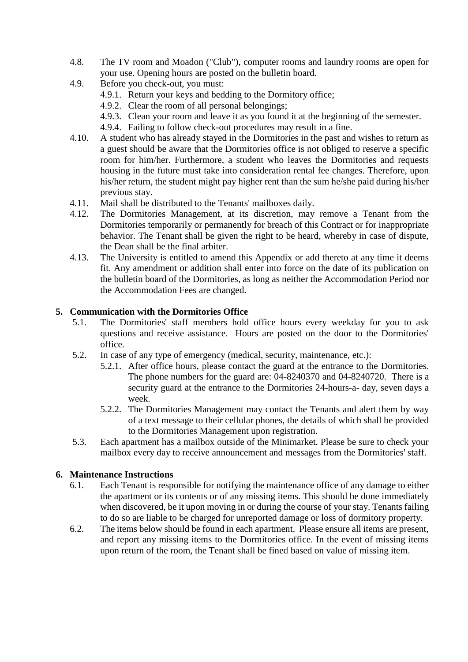- 4.8. The TV room and Moadon ("Club"), computer rooms and laundry rooms are open for your use. Opening hours are posted on the bulletin board.
- 4.9. Before you check-out, you must:
	- 4.9.1. Return your keys and bedding to the Dormitory office;
	- 4.9.2. Clear the room of all personal belongings;
	- 4.9.3. Clean your room and leave it as you found it at the beginning of the semester.
	- 4.9.4. Failing to follow check-out procedures may result in a fine.
- 4.10. A student who has already stayed in the Dormitories in the past and wishes to return as a guest should be aware that the Dormitories office is not obliged to reserve a specific room for him/her. Furthermore, a student who leaves the Dormitories and requests housing in the future must take into consideration rental fee changes. Therefore, upon his/her return, the student might pay higher rent than the sum he/she paid during his/her previous stay.
- 4.11. Mail shall be distributed to the Tenants' mailboxes daily.
- 4.12. The Dormitories Management, at its discretion, may remove a Tenant from the Dormitories temporarily or permanently for breach of this Contract or for inappropriate behavior. The Tenant shall be given the right to be heard, whereby in case of dispute, the Dean shall be the final arbiter.
- 4.13. The University is entitled to amend this Appendix or add thereto at any time it deems fit. Any amendment or addition shall enter into force on the date of its publication on the bulletin board of the Dormitories, as long as neither the Accommodation Period nor the Accommodation Fees are changed.

### **5. Communication with the Dormitories Office**

- 5.1. The Dormitories' staff members hold office hours every weekday for you to ask questions and receive assistance. Hours are posted on the door to the Dormitories' office.
- 5.2. In case of any type of emergency (medical, security, maintenance, etc.):
	- 5.2.1. After office hours, please contact the guard at the entrance to the Dormitories. The phone numbers for the guard are: 04-8240370 and 04-8240720. There is a security guard at the entrance to the Dormitories 24-hours-a- day, seven days a week.
	- 5.2.2. The Dormitories Management may contact the Tenants and alert them by way of a text message to their cellular phones, the details of which shall be provided to the Dormitories Management upon registration.
- 5.3. Each apartment has a mailbox outside of the Minimarket. Please be sure to check your mailbox every day to receive announcement and messages from the Dormitories' staff.

## **6. Maintenance Instructions**

- 6.1. Each Tenant is responsible for notifying the maintenance office of any damage to either the apartment or its contents or of any missing items. This should be done immediately when discovered, be it upon moving in or during the course of your stay. Tenants failing to do so are liable to be charged for unreported damage or loss of dormitory property.
- 6.2. The items below should be found in each apartment. Please ensure all items are present, and report any missing items to the Dormitories office. In the event of missing items upon return of the room, the Tenant shall be fined based on value of missing item.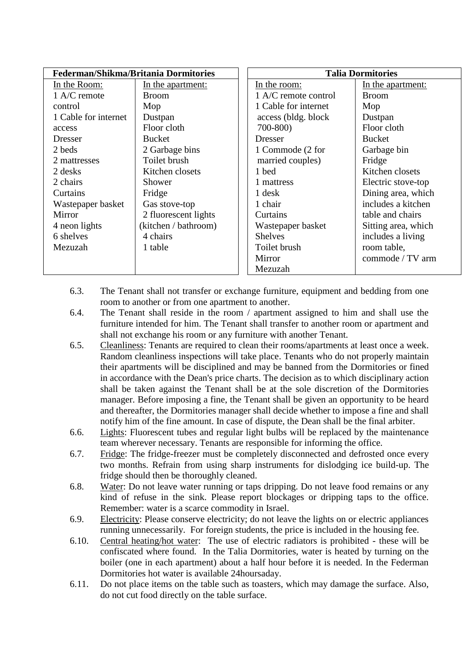| <b>Federman/Shikma/Britania Dormitories</b> |                      | <b>Talia Dormitories</b> |                      |                     |
|---------------------------------------------|----------------------|--------------------------|----------------------|---------------------|
| In the Room:                                | In the apartment:    |                          | In the room:         | In the apartment:   |
| $1$ A/C remote                              | <b>Broom</b>         |                          | 1 A/C remote control | <b>Broom</b>        |
| control                                     | Mop                  |                          | 1 Cable for internet | Mop                 |
| 1 Cable for internet                        | Dustpan              |                          | access (bldg. block) | Dustpan             |
| access                                      | Floor cloth          |                          | 700-800)             | Floor cloth         |
| Dresser                                     | <b>Bucket</b>        |                          | <b>Dresser</b>       | <b>Bucket</b>       |
| 2 beds                                      | 2 Garbage bins       |                          | 1 Commode (2 for     | Garbage bin         |
| 2 mattresses                                | Toilet brush         |                          | married couples)     | Fridge              |
| 2 desks                                     | Kitchen closets      |                          | 1 bed                | Kitchen closets     |
| 2 chairs                                    | Shower               |                          | 1 mattress           | Electric stove-top  |
| Curtains                                    | Fridge               |                          | 1 desk               | Dining area, which  |
| Wastepaper basket                           | Gas stove-top        |                          | 1 chair              | includes a kitchen  |
| Mirror                                      | 2 fluorescent lights |                          | Curtains             | table and chairs    |
| 4 neon lights                               | (kitchen / bathroom) |                          | Wastepaper basket    | Sitting area, which |
| 6 shelves                                   | 4 chairs             |                          | <b>Shelves</b>       | includes a living   |
| Mezuzah                                     | 1 table              |                          | Toilet brush         | room table,         |
|                                             |                      |                          | Mirror               | commode / TV arm    |
|                                             |                      |                          | Mezuzah              |                     |

- 6.3. The Tenant shall not transfer or exchange furniture, equipment and bedding from one room to another or from one apartment to another.
- 6.4. The Tenant shall reside in the room / apartment assigned to him and shall use the furniture intended for him. The Tenant shall transfer to another room or apartment and shall not exchange his room or any furniture with another Tenant.
- 6.5. Cleanliness: Tenants are required to clean their rooms/apartments at least once a week. Random cleanliness inspections will take place. Tenants who do not properly maintain their apartments will be disciplined and may be banned from the Dormitories or fined in accordance with the Dean's price charts. The decision as to which disciplinary action shall be taken against the Tenant shall be at the sole discretion of the Dormitories manager. Before imposing a fine, the Tenant shall be given an opportunity to be heard and thereafter, the Dormitories manager shall decide whether to impose a fine and shall notify him of the fine amount. In case of dispute, the Dean shall be the final arbiter.
- 6.6. Lights: Fluorescent tubes and regular light bulbs will be replaced by the maintenance team wherever necessary. Tenants are responsible for informing the office.
- 6.7. Fridge: The fridge-freezer must be completely disconnected and defrosted once every two months. Refrain from using sharp instruments for dislodging ice build-up. The fridge should then be thoroughly cleaned.
- 6.8. Water: Do not leave water running or taps dripping. Do not leave food remains or any kind of refuse in the sink. Please report blockages or dripping taps to the office. Remember: water is a scarce commodity in Israel.
- 6.9. Electricity: Please conserve electricity; do not leave the lights on or electric appliances running unnecessarily. For foreign students, the price is included in the housing fee.
- 6.10. Central heating/hot water: The use of electric radiators is prohibited these will be confiscated where found. In the Talia Dormitories, water is heated by turning on the boiler (one in each apartment) about a half hour before it is needed. In the Federman Dormitories hot water is available 24hoursaday.
- 6.11. Do not place items on the table such as toasters, which may damage the surface. Also, do not cut food directly on the table surface.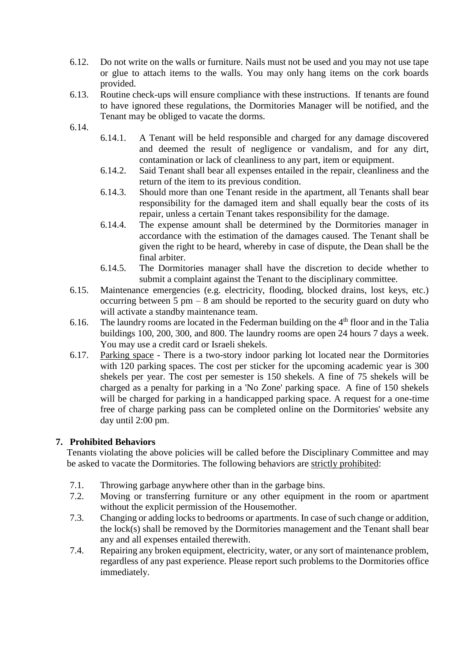- 6.12. Do not write on the walls or furniture. Nails must not be used and you may not use tape or glue to attach items to the walls. You may only hang items on the cork boards provided.
- 6.13. Routine check-ups will ensure compliance with these instructions. If tenants are found to have ignored these regulations, the Dormitories Manager will be notified, and the Tenant may be obliged to vacate the dorms.
- 6.14.
- 6.14.1. A Tenant will be held responsible and charged for any damage discovered and deemed the result of negligence or vandalism, and for any dirt, contamination or lack of cleanliness to any part, item or equipment.
- 6.14.2. Said Tenant shall bear all expenses entailed in the repair, cleanliness and the return of the item to its previous condition.
- 6.14.3. Should more than one Tenant reside in the apartment, all Tenants shall bear responsibility for the damaged item and shall equally bear the costs of its repair, unless a certain Tenant takes responsibility for the damage.
- 6.14.4. The expense amount shall be determined by the Dormitories manager in accordance with the estimation of the damages caused. The Tenant shall be given the right to be heard, whereby in case of dispute, the Dean shall be the final arbiter.
- 6.14.5. The Dormitories manager shall have the discretion to decide whether to submit a complaint against the Tenant to the disciplinary committee.
- 6.15. Maintenance emergencies (e.g. electricity, flooding, blocked drains, lost keys, etc.) occurring between  $5 \text{ pm} - 8$  am should be reported to the security guard on duty who will activate a standby maintenance team.
- 6.16. The laundry rooms are located in the Federman building on the  $4<sup>th</sup>$  floor and in the Talia buildings 100, 200, 300, and 800. The laundry rooms are open 24 hours 7 days a week. You may use a credit card or Israeli shekels.
- 6.17. Parking space There is a two-story indoor parking lot located near the Dormitories with 120 parking spaces. The cost per sticker for the upcoming academic year is 300 shekels per year. The cost per semester is 150 shekels. A fine of 75 shekels will be charged as a penalty for parking in a 'No Zone' parking space. A fine of 150 shekels will be charged for parking in a handicapped parking space. A request for a one-time free of charge parking pass can be completed online on the Dormitories' website any day until 2:00 pm.

## **7. Prohibited Behaviors**

Tenants violating the above policies will be called before the Disciplinary Committee and may be asked to vacate the Dormitories. The following behaviors are strictly prohibited:

- 7.1. Throwing garbage anywhere other than in the garbage bins.
- 7.2. Moving or transferring furniture or any other equipment in the room or apartment without the explicit permission of the Housemother.
- 7.3. Changing or adding locks to bedrooms or apartments. In case of such change or addition, the lock(s) shall be removed by the Dormitories management and the Tenant shall bear any and all expenses entailed therewith.
- 7.4. Repairing any broken equipment, electricity, water, or any sort of maintenance problem, regardless of any past experience. Please report such problems to the Dormitories office immediately.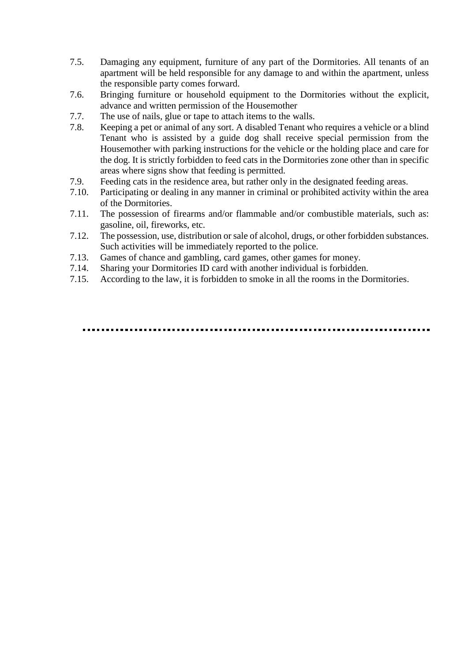- 7.5. Damaging any equipment, furniture of any part of the Dormitories. All tenants of an apartment will be held responsible for any damage to and within the apartment, unless the responsible party comes forward.
- 7.6. Bringing furniture or household equipment to the Dormitories without the explicit, advance and written permission of the Housemother
- 7.7. The use of nails, glue or tape to attach items to the walls.
- 7.8. Keeping a pet or animal of any sort. A disabled Tenant who requires a vehicle or a blind Tenant who is assisted by a guide dog shall receive special permission from the Housemother with parking instructions for the vehicle or the holding place and care for the dog. It is strictly forbidden to feed cats in the Dormitories zone other than in specific areas where signs show that feeding is permitted.
- 7.9. Feeding cats in the residence area, but rather only in the designated feeding areas.
- 7.10. Participating or dealing in any manner in criminal or prohibited activity within the area of the Dormitories.
- 7.11. The possession of firearms and/or flammable and/or combustible materials, such as: gasoline, oil, fireworks, etc.
- 7.12. The possession, use, distribution or sale of alcohol, drugs, or other forbidden substances. Such activities will be immediately reported to the police.
- 7.13. Games of chance and gambling, card games, other games for money.
- 7.14. Sharing your Dormitories ID card with another individual is forbidden.
- 7.15. According to the law, it is forbidden to smoke in all the rooms in the Dormitories.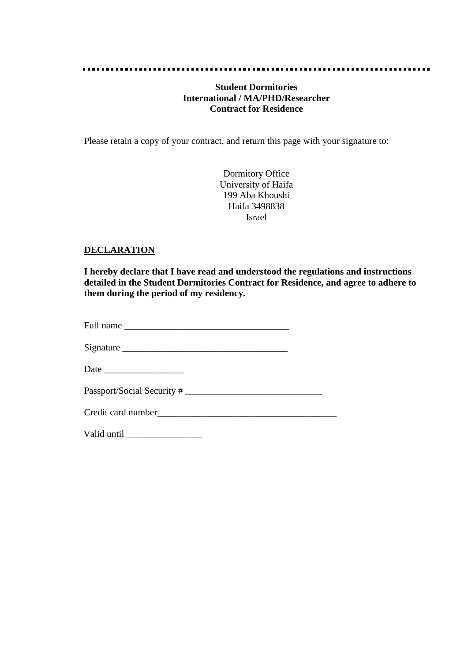#### 

### **Student Dormitories International / MA/PHD/Researcher Contract for Residence**

Please retain a copy of your contract, and return this page with your signature to:

Dormitory Office University of Haifa 199 Aba Khoushi Haifa 3498838 Israel

#### **DECLARATION**

**I hereby declare that I have read and understood the regulations and instructions detailed in the Student Dormitories Contract for Residence, and agree to adhere to them during the period of my residency.**

| Full name |
|-----------|
|-----------|

Signature \_\_\_\_\_\_\_\_\_\_\_\_\_\_\_\_\_\_\_\_\_\_\_\_\_\_\_\_\_\_\_\_\_\_\_

Date  $\Box$ 

Passport/Social Security # \_\_\_\_\_\_\_\_\_\_\_\_\_\_\_\_\_\_\_\_\_\_\_\_\_\_\_\_\_

Valid until \_\_\_\_\_\_\_\_\_\_\_\_\_\_\_\_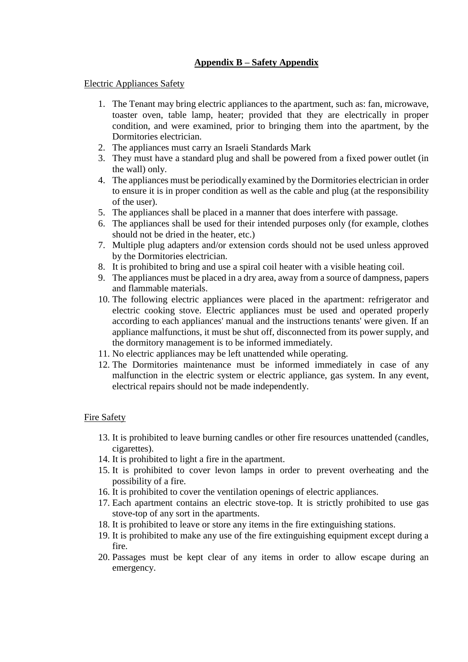# **Appendix B – Safety Appendix**

#### Electric Appliances Safety

- 1. The Tenant may bring electric appliances to the apartment, such as: fan, microwave, toaster oven, table lamp, heater; provided that they are electrically in proper condition, and were examined, prior to bringing them into the apartment, by the Dormitories electrician.
- 2. The appliances must carry an Israeli Standards Mark
- 3. They must have a standard plug and shall be powered from a fixed power outlet (in the wall) only.
- 4. The appliances must be periodically examined by the Dormitories electrician in order to ensure it is in proper condition as well as the cable and plug (at the responsibility of the user).
- 5. The appliances shall be placed in a manner that does interfere with passage.
- 6. The appliances shall be used for their intended purposes only (for example, clothes should not be dried in the heater, etc.)
- 7. Multiple plug adapters and/or extension cords should not be used unless approved by the Dormitories electrician.
- 8. It is prohibited to bring and use a spiral coil heater with a visible heating coil.
- 9. The appliances must be placed in a dry area, away from a source of dampness, papers and flammable materials.
- 10. The following electric appliances were placed in the apartment: refrigerator and electric cooking stove. Electric appliances must be used and operated properly according to each appliances' manual and the instructions tenants' were given. If an appliance malfunctions, it must be shut off, disconnected from its power supply, and the dormitory management is to be informed immediately.
- 11. No electric appliances may be left unattended while operating.
- 12. The Dormitories maintenance must be informed immediately in case of any malfunction in the electric system or electric appliance, gas system. In any event, electrical repairs should not be made independently.

#### Fire Safety

- 13. It is prohibited to leave burning candles or other fire resources unattended (candles, cigarettes).
- 14. It is prohibited to light a fire in the apartment.
- 15. It is prohibited to cover levon lamps in order to prevent overheating and the possibility of a fire.
- 16. It is prohibited to cover the ventilation openings of electric appliances.
- 17. Each apartment contains an electric stove-top. It is strictly prohibited to use gas stove-top of any sort in the apartments.
- 18. It is prohibited to leave or store any items in the fire extinguishing stations.
- 19. It is prohibited to make any use of the fire extinguishing equipment except during a fire.
- 20. Passages must be kept clear of any items in order to allow escape during an emergency.